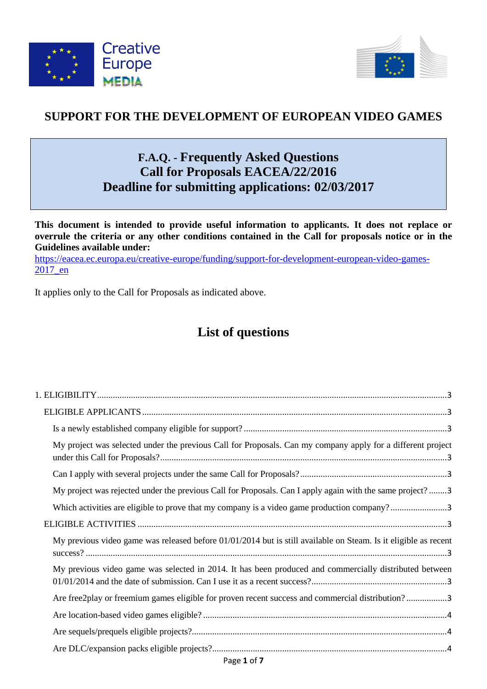



## **SUPPORT FOR THE DEVELOPMENT OF EUROPEAN VIDEO GAMES**

# **F.A.Q. - Frequently Asked Questions Call for Proposals EACEA/22/2016 Deadline for submitting applications: 02/03/2017**

**This document is intended to provide useful information to applicants. It does not replace or overrule the criteria or any other conditions contained in the Call for proposals notice or in the Guidelines available under:** 

[https://eacea.ec.europa.eu/creative-europe/funding/support-for-development-european-video-games-](https://eacea.ec.europa.eu/creative-europe/funding/support-for-development-european-video-games-2017_en)[2017\\_en](https://eacea.ec.europa.eu/creative-europe/funding/support-for-development-european-video-games-2017_en)

It applies only to the Call for Proposals as indicated above.

# **List of questions**

| My project was selected under the previous Call for Proposals. Can my company apply for a different project       |
|-------------------------------------------------------------------------------------------------------------------|
|                                                                                                                   |
| My project was rejected under the previous Call for Proposals. Can I apply again with the same project?3          |
| Which activities are eligible to prove that my company is a video game production company?3                       |
|                                                                                                                   |
| My previous video game was released before $01/01/2014$ but is still available on Steam. Is it eligible as recent |
| My previous video game was selected in 2014. It has been produced and commercially distributed between            |
| Are free2play or freemium games eligible for proven recent success and commercial distribution?3                  |
|                                                                                                                   |
|                                                                                                                   |
|                                                                                                                   |
|                                                                                                                   |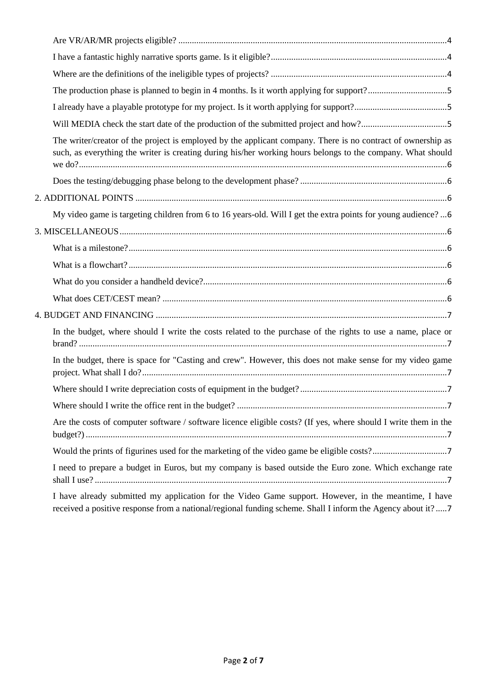| The production phase is planned to begin in 4 months. Is it worth applying for support?5                                                                                                                                    |
|-----------------------------------------------------------------------------------------------------------------------------------------------------------------------------------------------------------------------------|
|                                                                                                                                                                                                                             |
|                                                                                                                                                                                                                             |
| The writer/creator of the project is employed by the applicant company. There is no contract of ownership as<br>such, as everything the writer is creating during his/her working hours belongs to the company. What should |
|                                                                                                                                                                                                                             |
|                                                                                                                                                                                                                             |
| My video game is targeting children from 6 to 16 years-old. Will I get the extra points for young audience?  6                                                                                                              |
|                                                                                                                                                                                                                             |
|                                                                                                                                                                                                                             |
|                                                                                                                                                                                                                             |
|                                                                                                                                                                                                                             |
|                                                                                                                                                                                                                             |
|                                                                                                                                                                                                                             |
| In the budget, where should I write the costs related to the purchase of the rights to use a name, place or                                                                                                                 |
| In the budget, there is space for "Casting and crew". However, this does not make sense for my video game                                                                                                                   |
|                                                                                                                                                                                                                             |
|                                                                                                                                                                                                                             |
| Are the costs of computer software / software licence eligible costs? (If yes, where should I write them in the                                                                                                             |
|                                                                                                                                                                                                                             |
| I need to prepare a budget in Euros, but my company is based outside the Euro zone. Which exchange rate                                                                                                                     |
| I have already submitted my application for the Video Game support. However, in the meantime, I have                                                                                                                        |

[received a positive response from a national/regional funding scheme. Shall I inform the Agency about it?](#page-6-8) .....7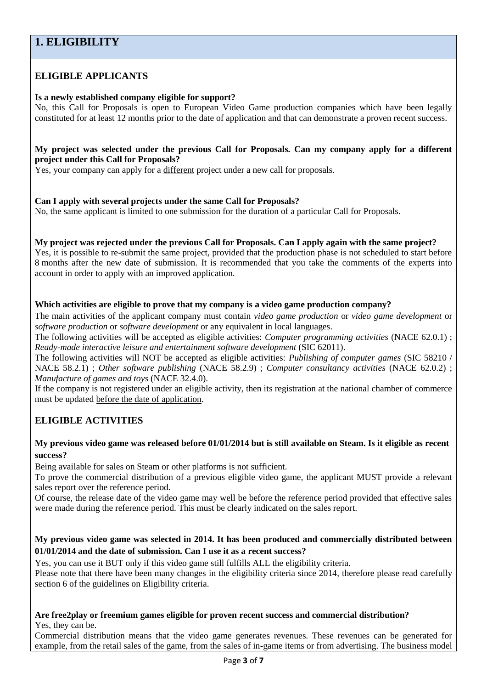## <span id="page-2-0"></span>**1. ELIGIBILITY**

### <span id="page-2-1"></span>**ELIGIBLE APPLICANTS**

#### <span id="page-2-2"></span>**Is a newly established company eligible for support?**

No, this Call for Proposals is open to European Video Game production companies which have been legally constituted for at least 12 months prior to the date of application and that can demonstrate a proven recent success.

#### <span id="page-2-3"></span>**My project was selected under the previous Call for Proposals. Can my company apply for a different project under this Call for Proposals?**

Yes, your company can apply for a different project under a new call for proposals.

#### <span id="page-2-4"></span>**Can I apply with several projects under the same Call for Proposals?**

No, the same applicant is limited to one submission for the duration of a particular Call for Proposals.

<span id="page-2-5"></span>**My project was rejected under the previous Call for Proposals. Can I apply again with the same project?** Yes, it is possible to re-submit the same project, provided that the production phase is not scheduled to start before 8 months after the new date of submission. It is recommended that you take the comments of the experts into account in order to apply with an improved application.

#### <span id="page-2-6"></span>**Which activities are eligible to prove that my company is a video game production company?**

The main activities of the applicant company must contain *video game production* or *video game development* or *software production* or *software development* or any equivalent in local languages.

The following activities will be accepted as eligible activities: *Computer programming activities* (NACE 62.0.1) ; *Ready-made interactive leisure and entertainment software development* (SIC 62011).

The following activities will NOT be accepted as eligible activities: *Publishing of computer games* (SIC 58210 / NACE 58.2.1) ; *Other software publishing* (NACE 58.2.9) ; *Computer consultancy activities* (NACE 62.0.2) ; *Manufacture of games and toys* (NACE 32.4.0).

If the company is not registered under an eligible activity, then its registration at the national chamber of commerce must be updated before the date of application.

#### <span id="page-2-7"></span>**ELIGIBLE ACTIVITIES**

#### <span id="page-2-8"></span>**My previous video game was released before 01/01/2014 but is still available on Steam. Is it eligible as recent success?**

Being available for sales on Steam or other platforms is not sufficient.

To prove the commercial distribution of a previous eligible video game, the applicant MUST provide a relevant sales report over the reference period.

Of course, the release date of the video game may well be before the reference period provided that effective sales were made during the reference period. This must be clearly indicated on the sales report.

#### <span id="page-2-9"></span>**My previous video game was selected in 2014. It has been produced and commercially distributed between 01/01/2014 and the date of submission. Can I use it as a recent success?**

Yes, you can use it BUT only if this video game still fulfills ALL the eligibility criteria.

Please note that there have been many changes in the eligibility criteria since 2014, therefore please read carefully section 6 of the guidelines on Eligibility criteria.

## <span id="page-2-10"></span>**Are free2play or freemium games eligible for proven recent success and commercial distribution?**

Yes, they can be.

Commercial distribution means that the video game generates revenues. These revenues can be generated for example, from the retail sales of the game, from the sales of in-game items or from advertising. The business model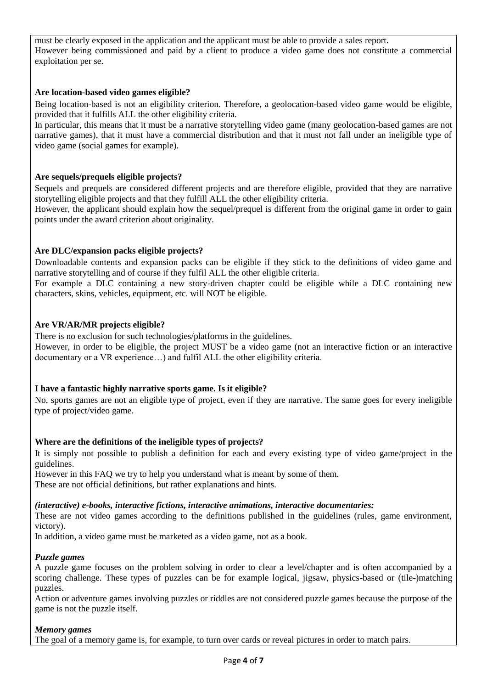must be clearly exposed in the application and the applicant must be able to provide a sales report. However being commissioned and paid by a client to produce a video game does not constitute a commercial exploitation per se.

#### <span id="page-3-0"></span>**Are location-based video games eligible?**

Being location-based is not an eligibility criterion. Therefore, a geolocation-based video game would be eligible, provided that it fulfills ALL the other eligibility criteria.

In particular, this means that it must be a narrative storytelling video game (many geolocation-based games are not narrative games), that it must have a commercial distribution and that it must not fall under an ineligible type of video game (social games for example).

#### <span id="page-3-1"></span>**Are sequels/prequels eligible projects?**

Sequels and prequels are considered different projects and are therefore eligible, provided that they are narrative storytelling eligible projects and that they fulfill ALL the other eligibility criteria.

However, the applicant should explain how the sequel/prequel is different from the original game in order to gain points under the award criterion about originality.

#### <span id="page-3-2"></span>**Are DLC/expansion packs eligible projects?**

Downloadable contents and expansion packs can be eligible if they stick to the definitions of video game and narrative storytelling and of course if they fulfil ALL the other eligible criteria.

For example a DLC containing a new story-driven chapter could be eligible while a DLC containing new characters, skins, vehicles, equipment, etc. will NOT be eligible.

#### <span id="page-3-3"></span>**Are VR/AR/MR projects eligible?**

There is no exclusion for such technologies/platforms in the guidelines.

However, in order to be eligible, the project MUST be a video game (not an interactive fiction or an interactive documentary or a VR experience…) and fulfil ALL the other eligibility criteria.

#### <span id="page-3-4"></span>**I have a fantastic highly narrative sports game. Is it eligible?**

No, sports games are not an eligible type of project, even if they are narrative. The same goes for every ineligible type of project/video game.

#### <span id="page-3-5"></span>**Where are the definitions of the ineligible types of projects?**

It is simply not possible to publish a definition for each and every existing type of video game/project in the guidelines.

However in this FAQ we try to help you understand what is meant by some of them.

These are not official definitions, but rather explanations and hints.

#### *(interactive) e-books, interactive fictions, interactive animations, interactive documentaries:*

These are not video games according to the definitions published in the guidelines (rules, game environment, victory).

In addition, a video game must be marketed as a video game, not as a book.

#### *Puzzle games*

A puzzle game focuses on the problem solving in order to clear a level/chapter and is often accompanied by a scoring challenge. These types of puzzles can be for example logical, jigsaw, physics-based or (tile-)matching puzzles.

Action or adventure games involving puzzles or riddles are not considered puzzle games because the purpose of the game is not the puzzle itself.

#### *Memory games*

The goal of a memory game is, for example, to turn over cards or reveal pictures in order to match pairs.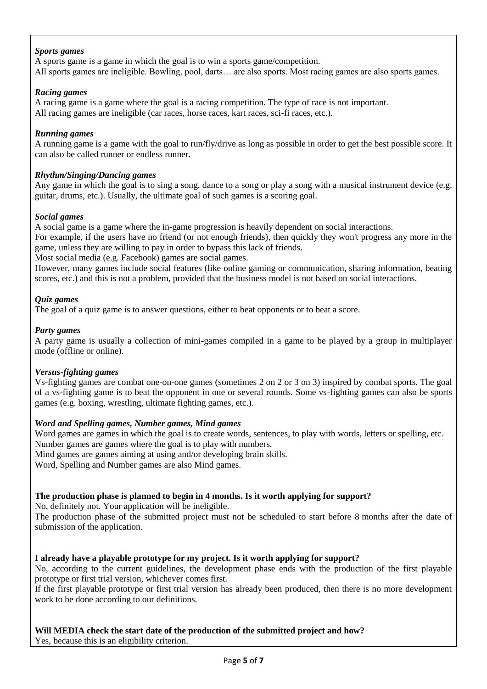#### *Sports games*

A sports game is a game in which the goal is to win a sports game/competition. All sports games are ineligible. Bowling, pool, darts… are also sports. Most racing games are also sports games.

#### *Racing games*

A racing game is a game where the goal is a racing competition. The type of race is not important. All racing games are ineligible (car races, horse races, kart races, sci-fi races, etc.).

#### *Running games*

A running game is a game with the goal to run/fly/drive as long as possible in order to get the best possible score. It can also be called runner or endless runner.

#### *Rhythm/Singing/Dancing games*

Any game in which the goal is to sing a song, dance to a song or play a song with a musical instrument device (e.g. guitar, drums, etc.). Usually, the ultimate goal of such games is a scoring goal.

#### *Social games*

A social game is a game where the in-game progression is heavily dependent on social interactions. For example, if the users have no friend (or not enough friends), then quickly they won't progress any more in the game, unless they are willing to pay in order to bypass this lack of friends.

Most social media (e.g. Facebook) games are social games.

However, many games include social features (like online gaming or communication, sharing information, beating scores, etc.) and this is not a problem, provided that the business model is not based on social interactions.

#### *Quiz games*

The goal of a quiz game is to answer questions, either to beat opponents or to beat a score.

#### *Party games*

A party game is usually a collection of mini-games compiled in a game to be played by a group in multiplayer mode (offline or online).

#### *Versus-fighting games*

Vs-fighting games are combat one-on-one games (sometimes 2 on 2 or 3 on 3) inspired by combat sports. The goal of a vs-fighting game is to beat the opponent in one or several rounds. Some vs-fighting games can also be sports games (e.g. boxing, wrestling, ultimate fighting games, etc.).

#### *Word and Spelling games, Number games, Mind games*

Word games are games in which the goal is to create words, sentences, to play with words, letters or spelling, etc. Number games are games where the goal is to play with numbers. Mind games are games aiming at using and/or developing brain skills.

Word, Spelling and Number games are also Mind games.

#### <span id="page-4-0"></span>**The production phase is planned to begin in 4 months. Is it worth applying for support?**

No, definitely not. Your application will be ineligible.

The production phase of the submitted project must not be scheduled to start before 8 months after the date of submission of the application.

#### <span id="page-4-1"></span>**I already have a playable prototype for my project. Is it worth applying for support?**

No, according to the current guidelines, the development phase ends with the production of the first playable prototype or first trial version, whichever comes first.

If the first playable prototype or first trial version has already been produced, then there is no more development work to be done according to our definitions.

#### <span id="page-4-2"></span>**Will MEDIA check the start date of the production of the submitted project and how?** Yes, because this is an eligibility criterion.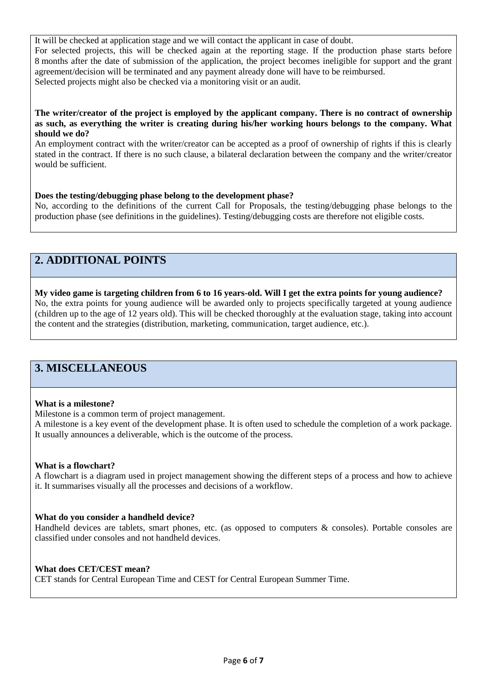It will be checked at application stage and we will contact the applicant in case of doubt. For selected projects, this will be checked again at the reporting stage. If the production phase starts before 8 months after the date of submission of the application, the project becomes ineligible for support and the grant agreement/decision will be terminated and any payment already done will have to be reimbursed. Selected projects might also be checked via a monitoring visit or an audit.

#### <span id="page-5-0"></span>**The writer/creator of the project is employed by the applicant company. There is no contract of ownership as such, as everything the writer is creating during his/her working hours belongs to the company. What should we do?**

An employment contract with the writer/creator can be accepted as a proof of ownership of rights if this is clearly stated in the contract. If there is no such clause, a bilateral declaration between the company and the writer/creator would be sufficient.

#### <span id="page-5-1"></span>**Does the testing/debugging phase belong to the development phase?**

No, according to the definitions of the current Call for Proposals, the testing/debugging phase belongs to the production phase (see definitions in the guidelines). Testing/debugging costs are therefore not eligible costs.

## <span id="page-5-2"></span>**2. ADDITIONAL POINTS**

### <span id="page-5-3"></span>**My video game is targeting children from 6 to 16 years-old. Will I get the extra points for young audience?**

No, the extra points for young audience will be awarded only to projects specifically targeted at young audience (children up to the age of 12 years old). This will be checked thoroughly at the evaluation stage, taking into account the content and the strategies (distribution, marketing, communication, target audience, etc.).

## <span id="page-5-4"></span>**3. MISCELLANEOUS**

#### <span id="page-5-5"></span>**What is a milestone?**

Milestone is a common term of project management.

A milestone is a key event of the development phase. It is often used to schedule the completion of a work package. It usually announces a deliverable, which is the outcome of the process.

#### <span id="page-5-6"></span>**What is a flowchart?**

A flowchart is a diagram used in project management showing the different steps of a process and how to achieve it. It summarises visually all the processes and decisions of a workflow.

#### <span id="page-5-7"></span>**What do you consider a handheld device?**

Handheld devices are tablets, smart phones, etc. (as opposed to computers & consoles). Portable consoles are classified under consoles and not handheld devices.

#### <span id="page-5-8"></span>**What does CET/CEST mean?**

CET stands for Central European Time and CEST for Central European Summer Time.